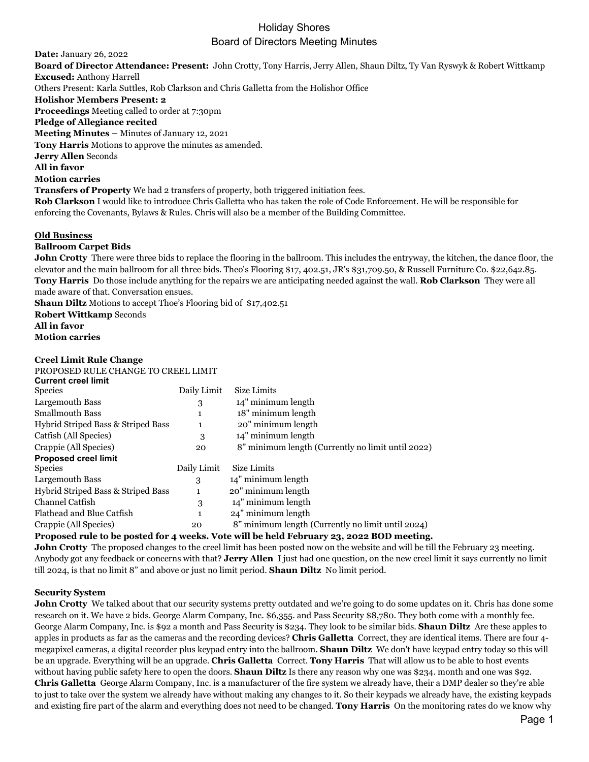# Holiday Shores

# Board of Directors Meeting Minutes

**Date:** January 26, 2022 **Board of Director Attendance: Present:** John Crotty, Tony Harris, Jerry Allen, Shaun Diltz, Ty Van Ryswyk & Robert Wittkamp **Excused:** Anthony Harrell Others Present: Karla Suttles, Rob Clarkson and Chris Galletta from the Holishor Office **Holishor Members Present: 2 Proceedings** Meeting called to order at 7:30pm **Pledge of Allegiance recited Meeting Minutes –** Minutes of January 12, 2021 **Tony Harris** Motions to approve the minutes as amended. **Jerry Allen** Seconds **All in favor Motion carries Transfers of Property** We had 2 transfers of property, both triggered initiation fees. **Rob Clarkson** I would like to introduce Chris Galletta who has taken the role of Code Enforcement. He will be responsible for enforcing the Covenants, Bylaws & Rules. Chris will also be a member of the Building Committee.

### **Old Business**

### **Ballroom Carpet Bids**

**John Crotty** There were three bids to replace the flooring in the ballroom. This includes the entryway, the kitchen, the dance floor, the elevator and the main ballroom for all three bids. Theo's Flooring \$17, 402.51, JR's \$31,709.50, & Russell Furniture Co. \$22,642.85. **Tony Harris** Do those include anything for the repairs we are anticipating needed against the wall. **Rob Clarkson** They were all made aware of that. Conversation ensues.

**Shaun Diltz** Motions to accept Thoe's Flooring bid of \$17,402.51

**Robert Wittkamp** Seconds

**All in favor Motion carries**

#### **Creel Limit Rule Change**

| PROPOSED RULE CHANGE TO CREEL LIMIT |             |                                                   |
|-------------------------------------|-------------|---------------------------------------------------|
| <b>Current creel limit</b>          |             |                                                   |
| Species                             | Daily Limit | Size Limits                                       |
| Largemouth Bass                     | 3           | 14" minimum length                                |
| Smallmouth Bass                     | 1           | 18" minimum length                                |
| Hybrid Striped Bass & Striped Bass  | 1           | 20" minimum length                                |
| Catfish (All Species)               | 3           | 14" minimum length                                |
| Crappie (All Species)               | 20          | 8" minimum length (Currently no limit until 2022) |
| <b>Proposed creel limit</b>         |             |                                                   |
| Species                             | Daily Limit | Size Limits                                       |
| Largemouth Bass                     | 3           | 14" minimum length                                |
| Hybrid Striped Bass & Striped Bass  | 1           | 20" minimum length                                |
| Channel Catfish                     | 3           | 14" minimum length                                |
| Flathead and Blue Catfish           | 1           | 24" minimum length                                |
| Crappie (All Species)               | 20          | 8" minimum length (Currently no limit until 2024) |
|                                     |             |                                                   |

#### **Proposed rule to be posted for 4 weeks. Vote will be held February 23, 2022 BOD meeting.**

**John Crotty** The proposed changes to the creel limit has been posted now on the website and will be till the February 23 meeting. Anybody got any feedback or concerns with that? **Jerry Allen** I just had one question, on the new creel limit it says currently no limit till 2024, is that no limit 8" and above or just no limit period. **Shaun Diltz** No limit period.

#### **Security System**

John Crotty We talked about that our security systems pretty outdated and we're going to do some updates on it. Chris has done some research on it. We have 2 bids. George Alarm Company, Inc. \$6,355. and Pass Security \$8,780. They both come with a monthly fee. George Alarm Company, Inc. is \$92 a month and Pass Security is \$234. They look to be similar bids. **Shaun Diltz** Are these apples to apples in products as far as the cameras and the recording devices? **Chris Galletta** Correct, they are identical items. There are four 4 megapixel cameras, a digital recorder plus keypad entry into the ballroom. **Shaun Diltz** We don't have keypad entry today so this will be an upgrade. Everything will be an upgrade. **Chris Galletta** Correct. **Tony Harris** That will allow us to be able to host events without having public safety here to open the doors. **Shaun Diltz** Is there any reason why one was \$234. month and one was \$92. **Chris Galletta** George Alarm Company, Inc. is a manufacturer of the fire system we already have, their a DMP dealer so they're able to just to take over the system we already have without making any changes to it. So their keypads we already have, the existing keypads and existing fire part of the alarm and everything does not need to be changed. **Tony Harris** On the monitoring rates do we know why